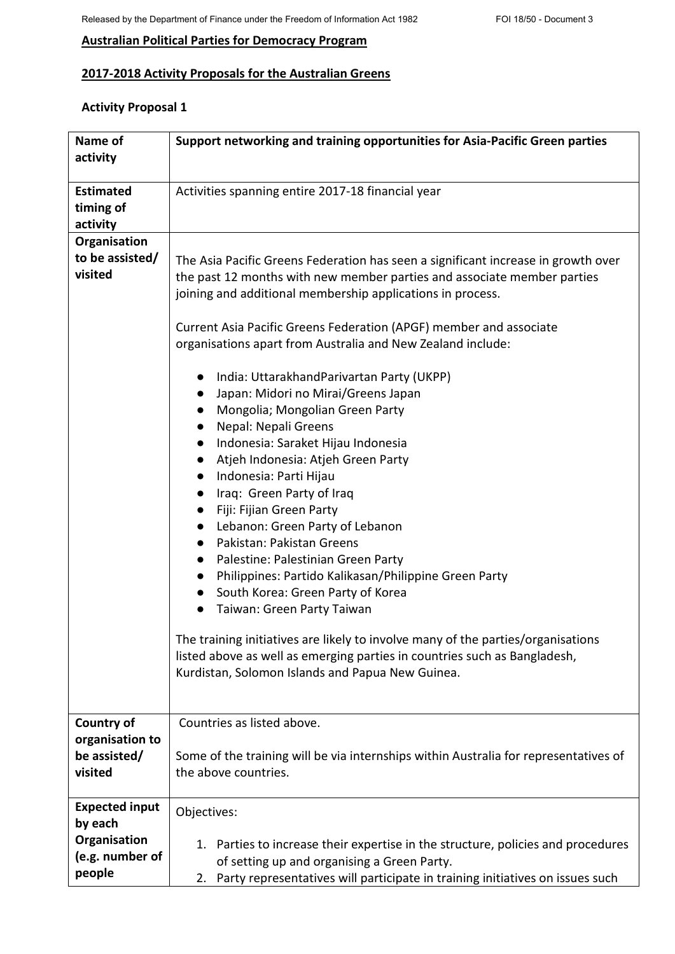# **Australian Political Parties for Democracy Program**

# **2017-2018 Activity Proposals for the Australian Greens**

# **Activity Proposal 1**

| Name of               | Support networking and training opportunities for Asia-Pacific Green parties                                                                                                                                                       |
|-----------------------|------------------------------------------------------------------------------------------------------------------------------------------------------------------------------------------------------------------------------------|
| activity              |                                                                                                                                                                                                                                    |
|                       |                                                                                                                                                                                                                                    |
| <b>Estimated</b>      | Activities spanning entire 2017-18 financial year                                                                                                                                                                                  |
| timing of             |                                                                                                                                                                                                                                    |
| activity              |                                                                                                                                                                                                                                    |
| Organisation          |                                                                                                                                                                                                                                    |
| to be assisted/       | The Asia Pacific Greens Federation has seen a significant increase in growth over                                                                                                                                                  |
| visited               | the past 12 months with new member parties and associate member parties                                                                                                                                                            |
|                       | joining and additional membership applications in process.                                                                                                                                                                         |
|                       |                                                                                                                                                                                                                                    |
|                       | Current Asia Pacific Greens Federation (APGF) member and associate                                                                                                                                                                 |
|                       | organisations apart from Australia and New Zealand include:                                                                                                                                                                        |
|                       |                                                                                                                                                                                                                                    |
|                       | India: UttarakhandParivartan Party (UKPP)<br>$\bullet$                                                                                                                                                                             |
|                       | Japan: Midori no Mirai/Greens Japan<br>$\bullet$                                                                                                                                                                                   |
|                       | Mongolia; Mongolian Green Party<br>$\bullet$                                                                                                                                                                                       |
|                       | Nepal: Nepali Greens<br>$\bullet$                                                                                                                                                                                                  |
|                       | Indonesia: Saraket Hijau Indonesia<br>$\bullet$                                                                                                                                                                                    |
|                       | Atjeh Indonesia: Atjeh Green Party<br>$\bullet$                                                                                                                                                                                    |
|                       | Indonesia: Parti Hijau<br>$\bullet$                                                                                                                                                                                                |
|                       | Iraq: Green Party of Iraq<br>$\bullet$                                                                                                                                                                                             |
|                       | Fiji: Fijian Green Party<br>$\bullet$                                                                                                                                                                                              |
|                       | Lebanon: Green Party of Lebanon<br>$\bullet$                                                                                                                                                                                       |
|                       | Pakistan: Pakistan Greens<br>$\bullet$                                                                                                                                                                                             |
|                       | Palestine: Palestinian Green Party<br>$\bullet$                                                                                                                                                                                    |
|                       | Philippines: Partido Kalikasan/Philippine Green Party                                                                                                                                                                              |
|                       | South Korea: Green Party of Korea                                                                                                                                                                                                  |
|                       | Taiwan: Green Party Taiwan                                                                                                                                                                                                         |
|                       |                                                                                                                                                                                                                                    |
|                       | The training initiatives are likely to involve many of the parties/organisations                                                                                                                                                   |
|                       | listed above as well as emerging parties in countries such as Bangladesh,                                                                                                                                                          |
|                       | Kurdistan, Solomon Islands and Papua New Guinea.                                                                                                                                                                                   |
|                       |                                                                                                                                                                                                                                    |
|                       |                                                                                                                                                                                                                                    |
| Country of            | Countries as listed above.                                                                                                                                                                                                         |
| organisation to       |                                                                                                                                                                                                                                    |
| be assisted/          | Some of the training will be via internships within Australia for representatives of                                                                                                                                               |
| visited               | the above countries.                                                                                                                                                                                                               |
|                       |                                                                                                                                                                                                                                    |
| <b>Expected input</b> |                                                                                                                                                                                                                                    |
| by each               |                                                                                                                                                                                                                                    |
| Organisation          |                                                                                                                                                                                                                                    |
| (e.g. number of       |                                                                                                                                                                                                                                    |
| people                |                                                                                                                                                                                                                                    |
|                       | Objectives:<br>1. Parties to increase their expertise in the structure, policies and procedures<br>of setting up and organising a Green Party.<br>2. Party representatives will participate in training initiatives on issues such |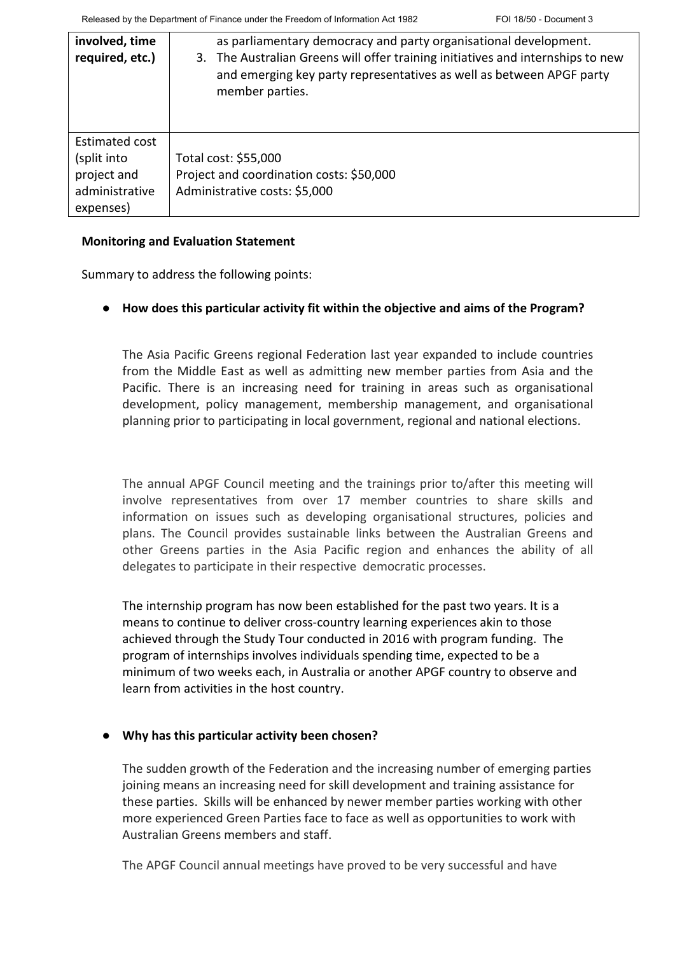| involved, time<br>required, etc.)                                           | as parliamentary democracy and party organisational development.<br>3. The Australian Greens will offer training initiatives and internships to new<br>and emerging key party representatives as well as between APGF party<br>member parties. |
|-----------------------------------------------------------------------------|------------------------------------------------------------------------------------------------------------------------------------------------------------------------------------------------------------------------------------------------|
| Estimated cost<br>(split into<br>project and<br>administrative<br>expenses) | Total cost: \$55,000<br>Project and coordination costs: \$50,000<br>Administrative costs: \$5,000                                                                                                                                              |

#### **Monitoring and Evaluation Statement**

Summary to address the following points:

● **How does this particular activity fit within the objective and aims of the Program?** 

The Asia Pacific Greens regional Federation last year expanded to include countries from the Middle East as well as admitting new member parties from Asia and the Pacific. There is an increasing need for training in areas such as organisational development, policy management, membership management, and organisational planning prior to participating in local government, regional and national elections.

The annual APGF Council meeting and the trainings prior to/after this meeting will involve representatives from over 17 member countries to share skills and information on issues such as developing organisational structures, policies and plans. The Council provides sustainable links between the Australian Greens and other Greens parties in the Asia Pacific region and enhances the ability of all delegates to participate in their respective democratic processes.

The internship program has now been established for the past two years. It is a means to continue to deliver cross-country learning experiences akin to those achieved through the Study Tour conducted in 2016 with program funding. The program of internships involves individuals spending time, expected to be a minimum of two weeks each, in Australia or another APGF country to observe and learn from activities in the host country.

## ● **Why has this particular activity been chosen?**

The sudden growth of the Federation and the increasing number of emerging parties joining means an increasing need for skill development and training assistance for these parties. Skills will be enhanced by newer member parties working with other more experienced Green Parties face to face as well as opportunities to work with Australian Greens members and staff.

The APGF Council annual meetings have proved to be very successful and have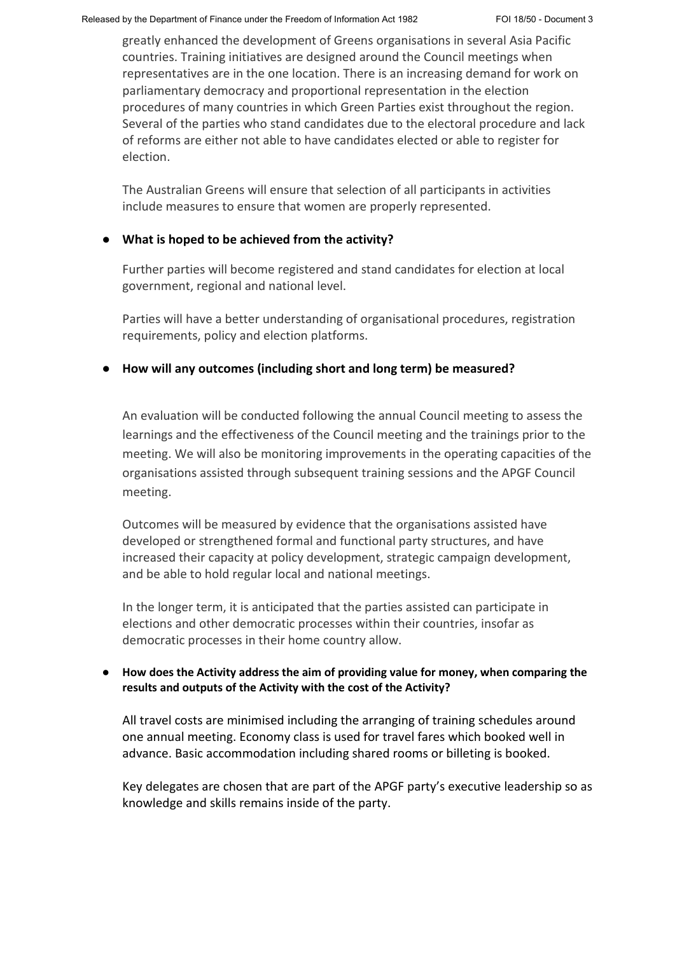greatly enhanced the development of Greens organisations in several Asia Pacific countries. Training initiatives are designed around the Council meetings when representatives are in the one location. There is an increasing demand for work on parliamentary democracy and proportional representation in the election procedures of many countries in which Green Parties exist throughout the region. Several of the parties who stand candidates due to the electoral procedure and lack of reforms are either not able to have candidates elected or able to register for election.

The Australian Greens will ensure that selection of all participants in activities include measures to ensure that women are properly represented.

## ● **What is hoped to be achieved from the activity?**

Further parties will become registered and stand candidates for election at local government, regional and national level.

Parties will have a better understanding of organisational procedures, registration requirements, policy and election platforms.

## ● **How will any outcomes (including short and long term) be measured?**

An evaluation will be conducted following the annual Council meeting to assess the learnings and the effectiveness of the Council meeting and the trainings prior to the meeting. We will also be monitoring improvements in the operating capacities of the organisations assisted through subsequent training sessions and the APGF Council meeting.

Outcomes will be measured by evidence that the organisations assisted have developed or strengthened formal and functional party structures, and have increased their capacity at policy development, strategic campaign development, and be able to hold regular local and national meetings.

In the longer term, it is anticipated that the parties assisted can participate in elections and other democratic processes within their countries, insofar as democratic processes in their home country allow.

## ● **How does the Activity address the aim of providing value for money, when comparing the results and outputs of the Activity with the cost of the Activity?**

All travel costs are minimised including the arranging of training schedules around one annual meeting. Economy class is used for travel fares which booked well in advance. Basic accommodation including shared rooms or billeting is booked.

Key delegates are chosen that are part of the APGF party's executive leadership so as knowledge and skills remains inside of the party.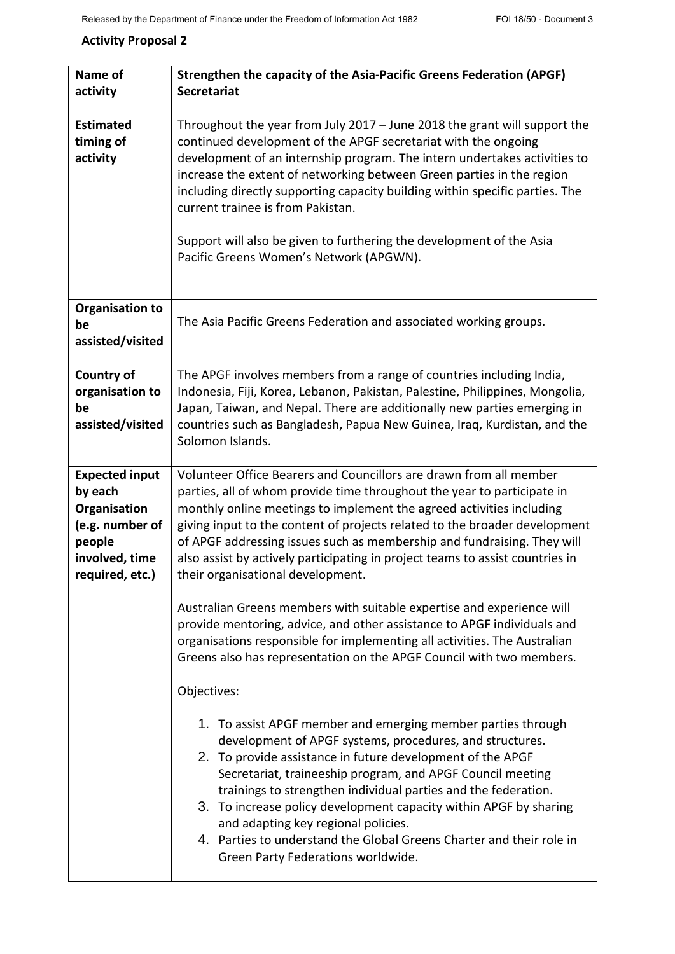# **Activity Proposal 2**

| Name of<br>activity                                                                                                | Strengthen the capacity of the Asia-Pacific Greens Federation (APGF)<br><b>Secretariat</b>                                                                                                                                                                                                                                                                                                                                                                                                                                                       |
|--------------------------------------------------------------------------------------------------------------------|--------------------------------------------------------------------------------------------------------------------------------------------------------------------------------------------------------------------------------------------------------------------------------------------------------------------------------------------------------------------------------------------------------------------------------------------------------------------------------------------------------------------------------------------------|
| <b>Estimated</b><br>timing of<br>activity                                                                          | Throughout the year from July 2017 - June 2018 the grant will support the<br>continued development of the APGF secretariat with the ongoing<br>development of an internship program. The intern undertakes activities to<br>increase the extent of networking between Green parties in the region<br>including directly supporting capacity building within specific parties. The<br>current trainee is from Pakistan.<br>Support will also be given to furthering the development of the Asia<br>Pacific Greens Women's Network (APGWN).        |
| <b>Organisation to</b><br>be<br>assisted/visited                                                                   | The Asia Pacific Greens Federation and associated working groups.                                                                                                                                                                                                                                                                                                                                                                                                                                                                                |
| Country of<br>organisation to<br>be<br>assisted/visited                                                            | The APGF involves members from a range of countries including India,<br>Indonesia, Fiji, Korea, Lebanon, Pakistan, Palestine, Philippines, Mongolia,<br>Japan, Taiwan, and Nepal. There are additionally new parties emerging in<br>countries such as Bangladesh, Papua New Guinea, Iraq, Kurdistan, and the<br>Solomon Islands.                                                                                                                                                                                                                 |
| <b>Expected input</b><br>by each<br>Organisation<br>(e.g. number of<br>people<br>involved, time<br>required, etc.) | Volunteer Office Bearers and Councillors are drawn from all member<br>parties, all of whom provide time throughout the year to participate in<br>monthly online meetings to implement the agreed activities including<br>giving input to the content of projects related to the broader development<br>of APGF addressing issues such as membership and fundraising. They will<br>also assist by actively participating in project teams to assist countries in<br>their organisational development.                                             |
|                                                                                                                    | Australian Greens members with suitable expertise and experience will<br>provide mentoring, advice, and other assistance to APGF individuals and<br>organisations responsible for implementing all activities. The Australian<br>Greens also has representation on the APGF Council with two members.<br>Objectives:                                                                                                                                                                                                                             |
|                                                                                                                    | 1. To assist APGF member and emerging member parties through<br>development of APGF systems, procedures, and structures.<br>2. To provide assistance in future development of the APGF<br>Secretariat, traineeship program, and APGF Council meeting<br>trainings to strengthen individual parties and the federation.<br>3. To increase policy development capacity within APGF by sharing<br>and adapting key regional policies.<br>4. Parties to understand the Global Greens Charter and their role in<br>Green Party Federations worldwide. |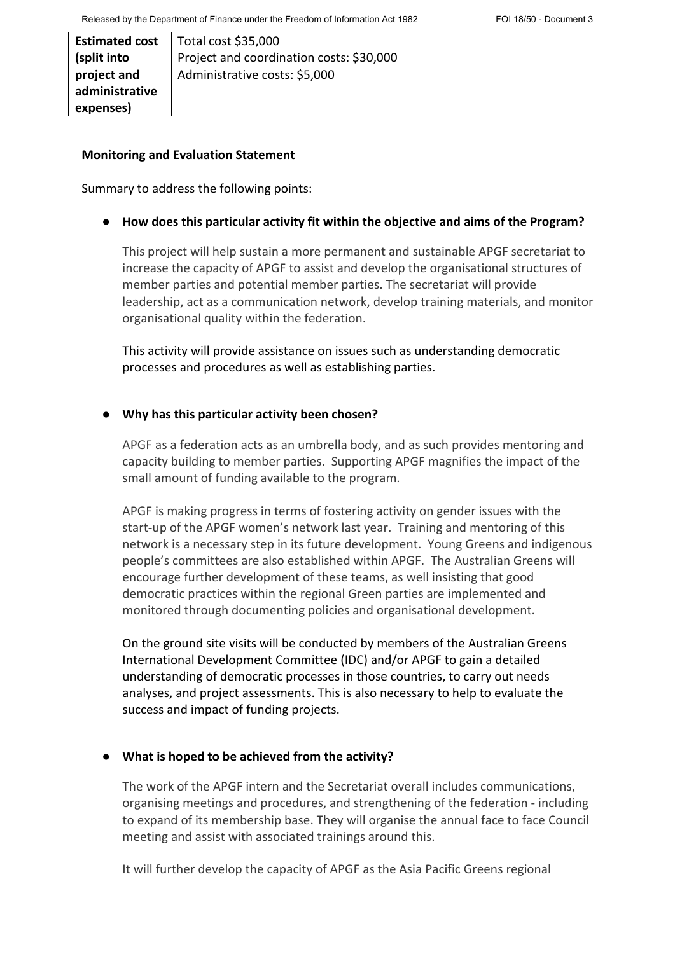| <b>Estimated cost</b> | $\vert$ Total cost \$35,000              |
|-----------------------|------------------------------------------|
| (split into           | Project and coordination costs: \$30,000 |
| project and           | Administrative costs: \$5,000            |
| administrative        |                                          |
| expenses)             |                                          |

#### **Monitoring and Evaluation Statement**

Summary to address the following points:

● **How does this particular activity fit within the objective and aims of the Program?** 

This project will help sustain a more permanent and sustainable APGF secretariat to increase the capacity of APGF to assist and develop the organisational structures of member parties and potential member parties. The secretariat will provide leadership, act as a communication network, develop training materials, and monitor organisational quality within the federation.

This activity will provide assistance on issues such as understanding democratic processes and procedures as well as establishing parties.

## ● **Why has this particular activity been chosen?**

APGF as a federation acts as an umbrella body, and as such provides mentoring and capacity building to member parties. Supporting APGF magnifies the impact of the small amount of funding available to the program.

APGF is making progress in terms of fostering activity on gender issues with the start-up of the APGF women's network last year. Training and mentoring of this network is a necessary step in its future development. Young Greens and indigenous people's committees are also established within APGF. The Australian Greens will encourage further development of these teams, as well insisting that good democratic practices within the regional Green parties are implemented and monitored through documenting policies and organisational development.

On the ground site visits will be conducted by members of the Australian Greens International Development Committee (IDC) and/or APGF to gain a detailed understanding of democratic processes in those countries, to carry out needs analyses, and project assessments. This is also necessary to help to evaluate the success and impact of funding projects.

## ● **What is hoped to be achieved from the activity?**

The work of the APGF intern and the Secretariat overall includes communications, organising meetings and procedures, and strengthening of the federation - including to expand of its membership base. They will organise the annual face to face Council meeting and assist with associated trainings around this.

It will further develop the capacity of APGF as the Asia Pacific Greens regional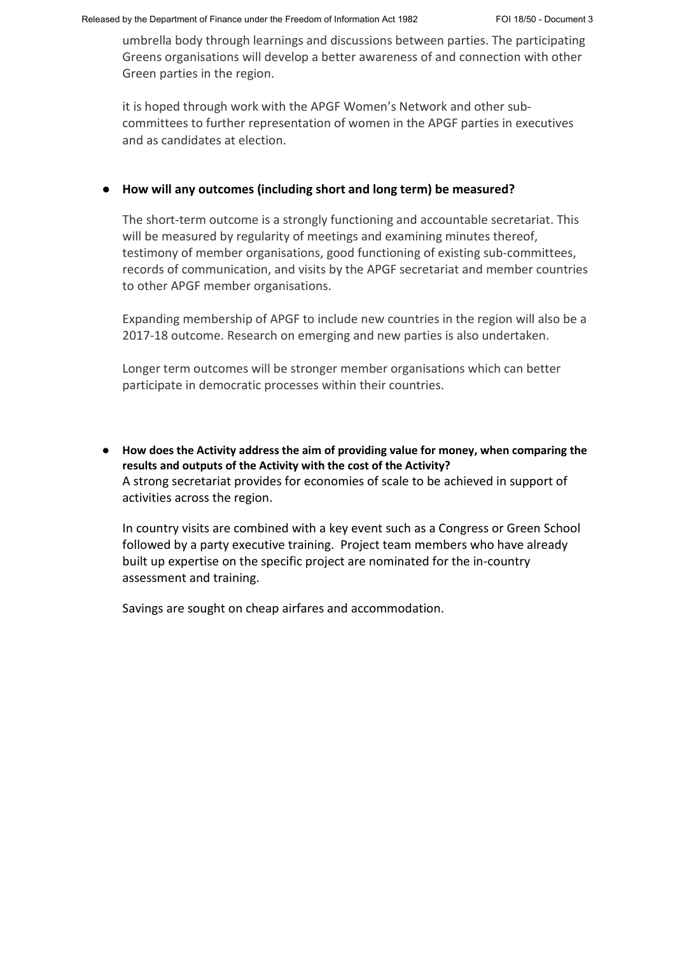umbrella body through learnings and discussions between parties. The participating Greens organisations will develop a better awareness of and connection with other Green parties in the region.

it is hoped through work with the APGF Women's Network and other subcommittees to further representation of women in the APGF parties in executives and as candidates at election.

## ● **How will any outcomes (including short and long term) be measured?**

The short-term outcome is a strongly functioning and accountable secretariat. This will be measured by regularity of meetings and examining minutes thereof, testimony of member organisations, good functioning of existing sub-committees, records of communication, and visits by the APGF secretariat and member countries to other APGF member organisations.

Expanding membership of APGF to include new countries in the region will also be a 2017-18 outcome. Research on emerging and new parties is also undertaken.

Longer term outcomes will be stronger member organisations which can better participate in democratic processes within their countries.

● **How does the Activity address the aim of providing value for money, when comparing the results and outputs of the Activity with the cost of the Activity?** A strong secretariat provides for economies of scale to be achieved in support of activities across the region.

In country visits are combined with a key event such as a Congress or Green School followed by a party executive training. Project team members who have already built up expertise on the specific project are nominated for the in-country assessment and training.

Savings are sought on cheap airfares and accommodation.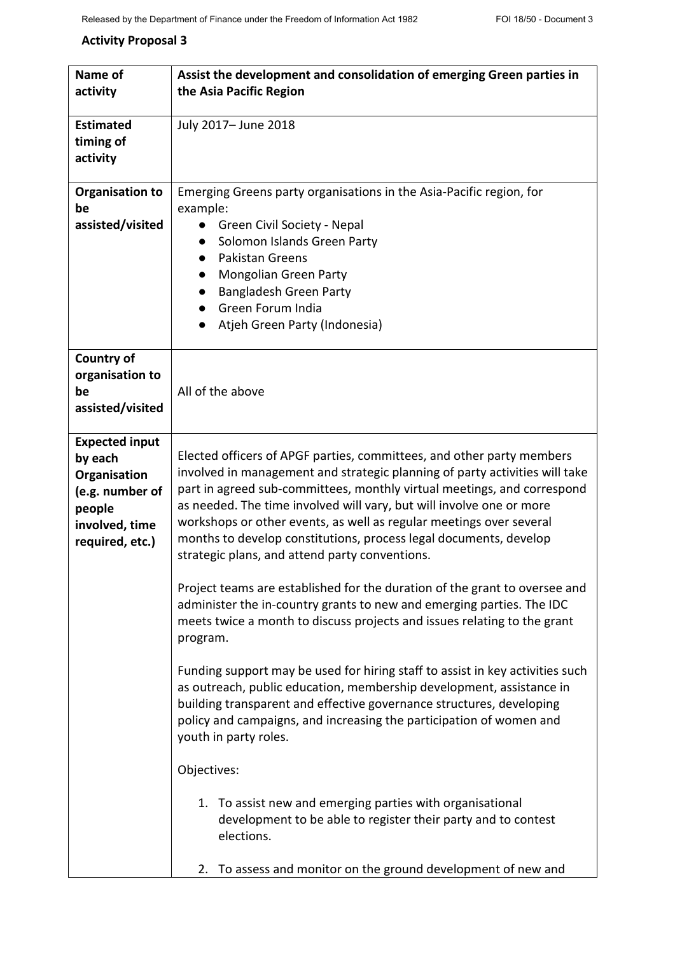# **Activity Proposal 3**

| Name of                | Assist the development and consolidation of emerging Green parties in         |
|------------------------|-------------------------------------------------------------------------------|
| activity               | the Asia Pacific Region                                                       |
|                        |                                                                               |
| <b>Estimated</b>       | July 2017- June 2018                                                          |
| timing of              |                                                                               |
| activity               |                                                                               |
|                        |                                                                               |
| <b>Organisation to</b> | Emerging Greens party organisations in the Asia-Pacific region, for           |
| be                     | example:                                                                      |
| assisted/visited       | Green Civil Society - Nepal<br>$\bullet$                                      |
|                        | Solomon Islands Green Party                                                   |
|                        | <b>Pakistan Greens</b><br>$\bullet$                                           |
|                        | Mongolian Green Party<br>$\bullet$                                            |
|                        | Bangladesh Green Party                                                        |
|                        | Green Forum India                                                             |
|                        | Atjeh Green Party (Indonesia)                                                 |
|                        |                                                                               |
| Country of             |                                                                               |
| organisation to        |                                                                               |
| be                     | All of the above                                                              |
| assisted/visited       |                                                                               |
|                        |                                                                               |
| <b>Expected input</b>  |                                                                               |
| by each                | Elected officers of APGF parties, committees, and other party members         |
| Organisation           | involved in management and strategic planning of party activities will take   |
| (e.g. number of        | part in agreed sub-committees, monthly virtual meetings, and correspond       |
| people                 | as needed. The time involved will vary, but will involve one or more          |
| involved, time         | workshops or other events, as well as regular meetings over several           |
| required, etc.)        | months to develop constitutions, process legal documents, develop             |
|                        | strategic plans, and attend party conventions.                                |
|                        | Project teams are established for the duration of the grant to oversee and    |
|                        | administer the in-country grants to new and emerging parties. The IDC         |
|                        | meets twice a month to discuss projects and issues relating to the grant      |
|                        | program.                                                                      |
|                        |                                                                               |
|                        | Funding support may be used for hiring staff to assist in key activities such |
|                        | as outreach, public education, membership development, assistance in          |
|                        | building transparent and effective governance structures, developing          |
|                        | policy and campaigns, and increasing the participation of women and           |
|                        | youth in party roles.                                                         |
|                        |                                                                               |
|                        | Objectives:                                                                   |
|                        |                                                                               |
|                        | 1. To assist new and emerging parties with organisational                     |
|                        | development to be able to register their party and to contest                 |
|                        | elections.                                                                    |
|                        |                                                                               |
|                        | 2. To assess and monitor on the ground development of new and                 |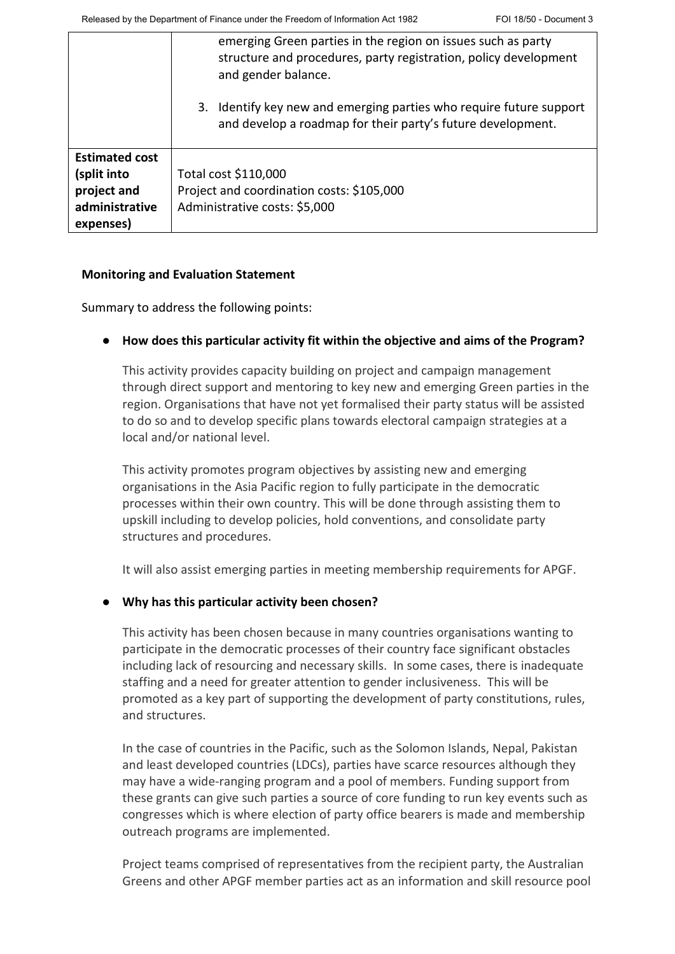|                       | emerging Green parties in the region on issues such as party<br>structure and procedures, party registration, policy development<br>and gender balance. |
|-----------------------|---------------------------------------------------------------------------------------------------------------------------------------------------------|
|                       | Identify key new and emerging parties who require future support<br>3.<br>and develop a roadmap for their party's future development.                   |
| <b>Estimated cost</b> |                                                                                                                                                         |
| (split into           | Total cost \$110,000                                                                                                                                    |
| project and           | Project and coordination costs: \$105,000                                                                                                               |
| administrative        | Administrative costs: \$5,000                                                                                                                           |
| expenses)             |                                                                                                                                                         |

#### **Monitoring and Evaluation Statement**

Summary to address the following points:

## ● **How does this particular activity fit within the objective and aims of the Program?**

This activity provides capacity building on project and campaign management through direct support and mentoring to key new and emerging Green parties in the region. Organisations that have not yet formalised their party status will be assisted to do so and to develop specific plans towards electoral campaign strategies at a local and/or national level.

This activity promotes program objectives by assisting new and emerging organisations in the Asia Pacific region to fully participate in the democratic processes within their own country. This will be done through assisting them to upskill including to develop policies, hold conventions, and consolidate party structures and procedures.

It will also assist emerging parties in meeting membership requirements for APGF.

## ● **Why has this particular activity been chosen?**

This activity has been chosen because in many countries organisations wanting to participate in the democratic processes of their country face significant obstacles including lack of resourcing and necessary skills. In some cases, there is inadequate staffing and a need for greater attention to gender inclusiveness. This will be promoted as a key part of supporting the development of party constitutions, rules, and structures.

In the case of countries in the Pacific, such as the Solomon Islands, Nepal, Pakistan and least developed countries (LDCs), parties have scarce resources although they may have a wide-ranging program and a pool of members. Funding support from these grants can give such parties a source of core funding to run key events such as congresses which is where election of party office bearers is made and membership outreach programs are implemented.

Project teams comprised of representatives from the recipient party, the Australian Greens and other APGF member parties act as an information and skill resource pool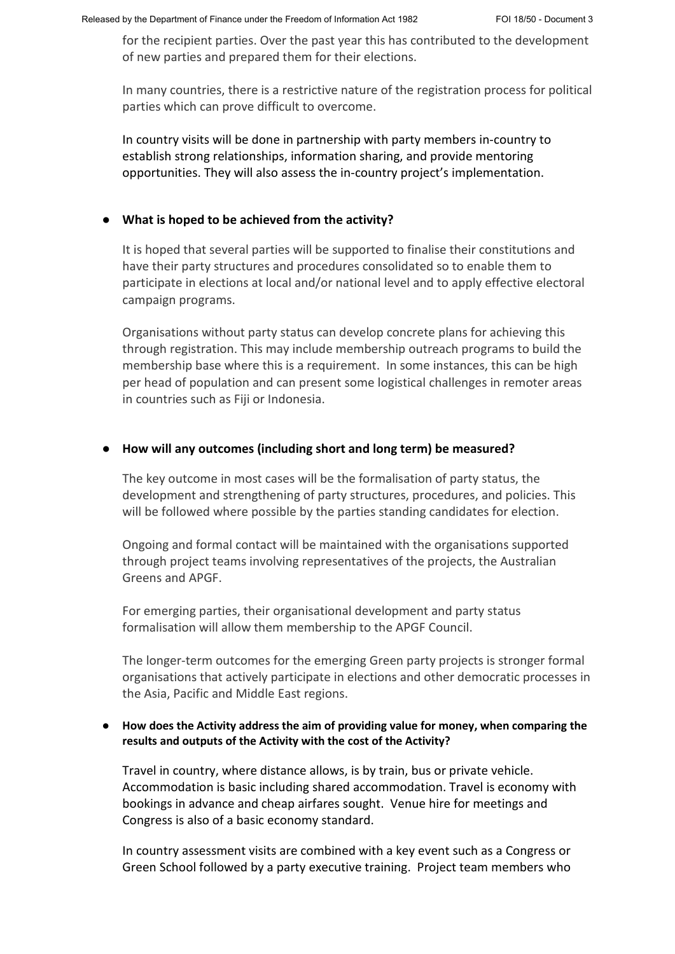for the recipient parties. Over the past year this has contributed to the development of new parties and prepared them for their elections.

In many countries, there is a restrictive nature of the registration process for political parties which can prove difficult to overcome.

In country visits will be done in partnership with party members in-country to establish strong relationships, information sharing, and provide mentoring opportunities. They will also assess the in-country project's implementation.

#### ● **What is hoped to be achieved from the activity?**

It is hoped that several parties will be supported to finalise their constitutions and have their party structures and procedures consolidated so to enable them to participate in elections at local and/or national level and to apply effective electoral campaign programs.

Organisations without party status can develop concrete plans for achieving this through registration. This may include membership outreach programs to build the membership base where this is a requirement. In some instances, this can be high per head of population and can present some logistical challenges in remoter areas in countries such as Fiji or Indonesia.

#### ● **How will any outcomes (including short and long term) be measured?**

The key outcome in most cases will be the formalisation of party status, the development and strengthening of party structures, procedures, and policies. This will be followed where possible by the parties standing candidates for election.

Ongoing and formal contact will be maintained with the organisations supported through project teams involving representatives of the projects, the Australian Greens and APGF.

For emerging parties, their organisational development and party status formalisation will allow them membership to the APGF Council.

The longer-term outcomes for the emerging Green party projects is stronger formal organisations that actively participate in elections and other democratic processes in the Asia, Pacific and Middle East regions.

#### ● **How does the Activity address the aim of providing value for money, when comparing the results and outputs of the Activity with the cost of the Activity?**

Travel in country, where distance allows, is by train, bus or private vehicle. Accommodation is basic including shared accommodation. Travel is economy with bookings in advance and cheap airfares sought. Venue hire for meetings and Congress is also of a basic economy standard.

In country assessment visits are combined with a key event such as a Congress or Green School followed by a party executive training. Project team members who